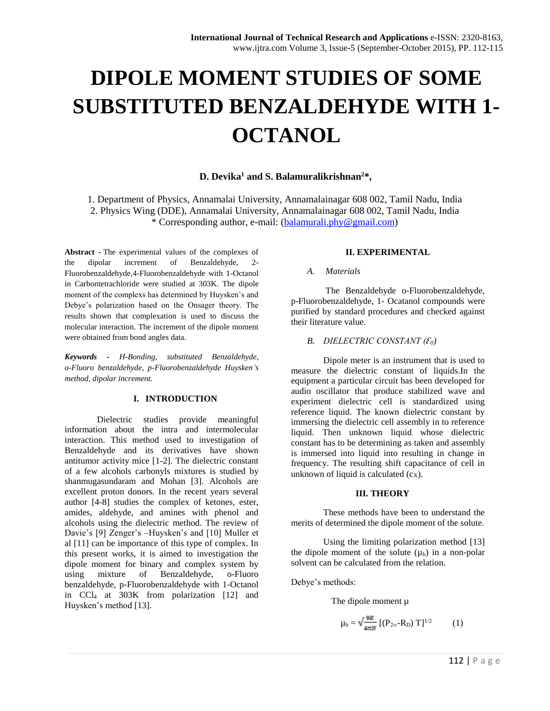# **DIPOLE MOMENT STUDIES OF SOME SUBSTITUTED BENZALDEHYDE WITH 1- OCTANOL**

# **D. Devika<sup>1</sup> and S. Balamuralikrishnan<sup>2</sup>\*,**

1. Department of Physics, Annamalai University, Annamalainagar 608 002, Tamil Nadu, India 2. Physics Wing (DDE), Annamalai University, Annamalainagar 608 002, Tamil Nadu, India \* Corresponding author, e-mail: [\(balamurali.phy@gmail.com\)](mailto:balamurali.phy@gmail.com)

**Abstract -** The experimental values of the complexes of the dipolar increment of Benzaldehyde, 2- Fluorobenzaldehyde,4-Fluorobenzaldehyde with 1-Octanol in Carbontetrachloride were studied at 303K. The dipole moment of the complexs has determined by Huysken's and Debye's polarization based on the Onsager theory. The results shown that complexation is used to discuss the molecular interaction. The increment of the dipole moment were obtained from bond angles data.

*Keywords - H-Bonding, substituted Benzaldehyde, o-Fluoro benzaldehyde, p-Fluorobenzaldehyde Huysken's method, dipolar increment.*

#### **I. INTRODUCTION**

Dielectric studies provide meaningful information about the intra and intermolecular interaction. This method used to investigation of Benzaldehyde and its derivatives have shown antitumor activity mice [1-2]. The dielectric constant of a few alcohols carbonyls mixtures is studied by shanmugasundaram and Mohan [3]. Alcohols are excellent proton donors. In the recent years several author [4-8] studies the complex of ketones, ester, amides, aldehyde, and amines with phenol and alcohols using the dielectric method. The review of Davie's [9] Zenger's –Huysken's and [10] Muller et al [11] can be importance of this type of complex. In this present works, it is aimed to investigation the dipole moment for binary and complex system by using mixture of Benzaldehyde, o-Fluoro benzaldehyde, p-Fluorobenzaldehyde with 1-Octanol in CCl<sup>4</sup> at 303K from polarization [12] and Huysken's method [13].

## **II. EXPERIMENTAL**

## *A. Materials*

The Benzaldehyde o-Fluorobenzaldehyde, p-Fluorobenzaldehyde, 1- Ocatanol compounds were purified by standard procedures and checked against their literature value.

## *B. DIELECTRIC CONSTANT (Ɛ0)*

Dipole meter is an instrument that is used to measure the dielectric constant of liquids.In the equipment a particular circuit has been developed for audio oscillator that produce stabilized wave and experiment dielectric cell is standardized using reference liquid. The known dielectric constant by immersing the dielectric cell assembly in to reference liquid. Then unknown liquid whose dielectric constant has to be determining as taken and assembly is immersed into liquid into resulting in change in frequency. The resulting shift capacitance of cell in unknown of liquid is calculated  $(c_X)$ .

#### **III. THEORY**

These methods have been to understand the merits of determined the dipole moment of the solute.

Using the limiting polarization method [13] the dipole moment of the solute  $(\mu_b)$  in a non-polar solvent can be calculated from the relation.

Debye's methods:

The dipole moment  $\mu$ 

$$
\mu_b = \sqrt{\frac{9\kappa}{4\pi N}} \left[ (P_{2\infty} - R_D) T \right]^{1/2} \tag{1}
$$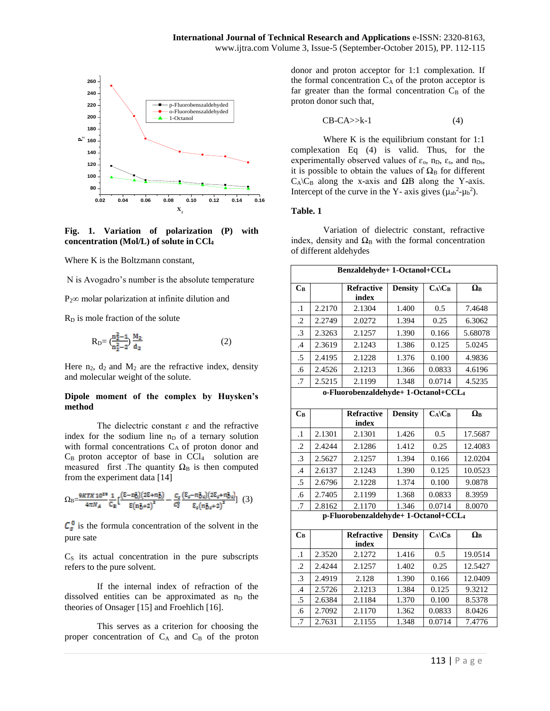

**Fig. 1. Variation of polarization (P) with concentration (Mol/L) of solute in CCl<sup>4</sup>**

Where K is the Boltzmann constant,

N is Avogadro's number is the absolute temperature

 $P_2$ ∞ molar polarization at infinite dilution and

R<sub>D</sub> is mole fraction of the solute

$$
R_{D} = \left(\frac{n_2^2 - 1}{n_2^2 - 2}\right) \frac{M_2}{d_2}
$$
 (2)

Here  $n_2$ ,  $d_2$  and  $M_2$  are the refractive index, density and molecular weight of the solute.

## **Dipole moment of the complex by Huysken's method**

The dielectric constant  $\varepsilon$  and the refractive index for the sodium line  $n_D$  of a ternary solution with formal concentrations  $C_A$  of proton donor and  $C_B$  proton acceptor of base in  $CCl_4$  solution are measured first .The quantity  $\Omega_B$  is then computed from the experiment data [14]

$$
\Omega_{\rm B} = \frac{9kT X \, 10^{39}}{4\pi N_A} \frac{1}{C_{\rm B}} \left[ \frac{(\epsilon - n_{\rm D}^2)(2\epsilon + n_{\rm D}^2)}{\epsilon (n_{\rm D}^2 + 2)^2} - \frac{C_{\rm s}}{C_{\rm s}^2} \frac{(\epsilon_s - n_{\rm D}^2)(2\epsilon_s + n_{\rm D}^2)}{\epsilon_s (n_{\rm D}^2 + 2)^2} \right] \tag{3}
$$

 $C_s^{\circ}$  is the formula concentration of the solvent in the pure sate

 $C<sub>S</sub>$  its actual concentration in the pure subscripts refers to the pure solvent.

If the internal index of refraction of the dissolved entities can be approximated as  $n<sub>D</sub>$  the theories of Onsager [15] and Froehlich [16].

This serves as a criterion for choosing the proper concentration of  $C_A$  and  $C_B$  of the proton donor and proton acceptor for 1:1 complexation. If the formal concentration  $C_A$  of the proton acceptor is far greater than the formal concentration  $C_B$  of the proton donor such that,

$$
CB-CA>>k-1
$$
 (4)

Where K is the equilibrium constant for 1:1 complexation Eq (4) is valid. Thus, for the experimentally observed values of  $\varepsilon_0$ ,  $n_D$ ,  $\varepsilon_s$ , and  $n_{Ds}$ , it is possible to obtain the values of  $\Omega_{\rm B}$  for different  $C_A \setminus C_B$  along the x-axis and  $\Omega B$  along the Y-axis. Intercept of the curve in the Y- axis gives  $(\mu_{ab}^2 - \mu_b^2)$ .

#### **Table. 1**

Variation of dielectric constant, refractive index, density and  $\Omega_B$  with the formal concentration of different aldehydes

| Benzaldehyde+ 1-Octanol+CCL <sub>4</sub> |        |                            |                |                      |                  |  |
|------------------------------------------|--------|----------------------------|----------------|----------------------|------------------|--|
| $C_B$                                    |        | <b>Refractive</b><br>index | <b>Density</b> | $C_A \backslash C_B$ | $\Omega_{\rm B}$ |  |
| $\cdot$ 1                                | 2.2170 | 2.1304                     | 1.400          | 0.5                  | 7.4648           |  |
| $\cdot$                                  | 2.2749 | 2.0272                     | 1.394          | 0.25                 | 6.3062           |  |
| .3                                       | 2.3263 | 2.1257                     | 1.390          | 0.166                | 5.68078          |  |
| $\cdot$                                  | 2.3619 | 2.1243                     | 1.386          | 0.125                | 5.0245           |  |
| .5                                       | 2.4195 | 2.1228                     | 1.376          | 0.100                | 4.9836           |  |
| .6                                       | 2.4526 | 2.1213                     | 1.366          | 0.0833               | 4.6196           |  |
| $.7\,$                                   | 2.5215 | 2.1199                     | 1.348          | 0.0714               | 4.5235           |  |
| o-Fluorobenzaldehyde+1-Octanol+CCL4      |        |                            |                |                      |                  |  |
| $\bf C_B$                                |        | <b>Refractive</b><br>index | <b>Density</b> | $C_A$ $C_B$          | $\Omega_{\rm B}$ |  |
| 1                                        | 2.1301 | 2 1301                     | 1 426          | ሰ ና                  | 17 5687          |  |

| $\cdot$ 1 | 2.1301 | 2.1301 | 1.426 | 0.5    | 17.5687 |
|-----------|--------|--------|-------|--------|---------|
| $\cdot$   | 2.4244 | 2.1286 | 1.412 | 0.25   | 12.4083 |
| $\cdot$ 3 | 2.5627 | 2.1257 | 1.394 | 0.166  | 12.0204 |
| $\cdot$ 4 | 2.6137 | 2.1243 | 1.390 | 0.125  | 10.0523 |
| .5        | 2.6796 | 2.1228 | 1.374 | 0.100  | 9.0878  |
| .6        | 2.7405 | 2.1199 | 1.368 | 0.0833 | 8.3959  |
| .7        | 2.8162 | 2.1170 | 1.346 | 0.0714 | 8.0070  |

**p-Fluorobenzaldehyde+ 1-Octanol+CCL<sup>4</sup>**

| $C_B$     |        | <b>Refractive</b> | <b>Density</b> | $C_A$ $C_B$ | $\Omega_{\rm B}$ |
|-----------|--------|-------------------|----------------|-------------|------------------|
|           |        | index             |                |             |                  |
| $\cdot$ 1 | 2.3520 | 2.1272            | 1.416          | 0.5         | 19.0514          |
| $\cdot$ 2 | 2.4244 | 2.1257            | 1.402          | 0.25        | 12.5427          |
| $\cdot$ 3 | 2.4919 | 2.128             | 1.390          | 0.166       | 12.0409          |
| $\cdot$ 4 | 2.5726 | 2.1213            | 1.384          | 0.125       | 9.3212           |
| .5        | 2.6384 | 2.1184            | 1.370          | 0.100       | 8.5378           |
| .6        | 2.7092 | 2.1170            | 1.362          | 0.0833      | 8.0426           |
| .7        | 2.7631 | 2.1155            | 1.348          | 0.0714      | 7.4776           |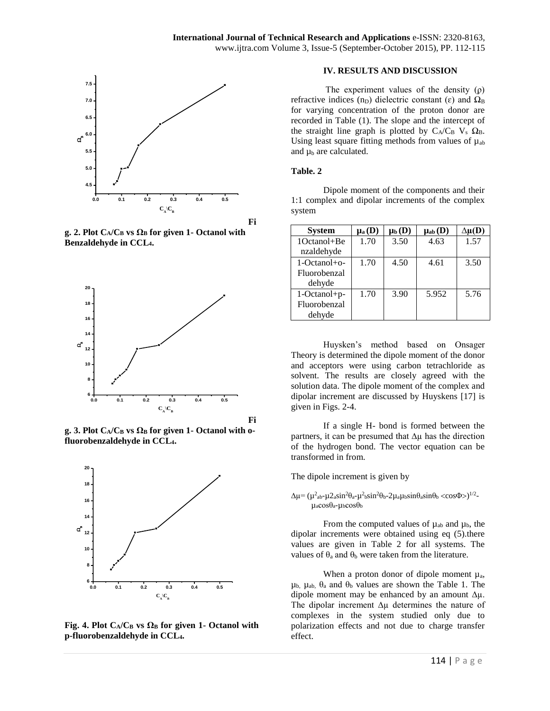

**Fi**

**g.** 2. Plot  $C_A/C_B$  vs  $\Omega_B$  for given 1- Octanol with **Benzaldehyde in CCL4.**



 $g. 3$ . **Plot**  $C_A/C_B$  **vs**  $\Omega_B$  for given 1- Octanol with o**fluorobenzaldehyde in CCL4.**



**Fig.** 4. Plot  $C_A/C_B$  vs  $\Omega_B$  for given 1- Octanol with **p-fluorobenzaldehyde in CCL4.**

#### **IV. RESULTS AND DISCUSSION**

The experiment values of the density  $(\rho)$ refractive indices (n<sub>D</sub>) dielectric constant ( $\varepsilon$ ) and  $\Omega_B$ for varying concentration of the proton donor are recorded in Table (1). The slope and the intercept of the straight line graph is plotted by  $C_A/C_B V_S \Omega_B$ . Using least square fitting methods from values of  $\mu_{ab}$ and  $\mu_b$  are calculated.

#### **Table. 2**

Dipole moment of the components and their 1:1 complex and dipolar increments of the complex system

| <b>System</b>  | $\mu$ <sub>a</sub> (D) | $\mu_b(D)$ | $\mu_{ab}(\mathbf{D})$ | $\Delta\mu(D)$ |
|----------------|------------------------|------------|------------------------|----------------|
| 1Octanol+Be    | 1.70                   | 3.50       | 4.63                   | 1.57           |
| nzaldehyde     |                        |            |                        |                |
| $1-Octanol+o-$ | 1.70                   | 4.50       | 4.61                   | 3.50           |
| Fluorobenzal   |                        |            |                        |                |
| dehyde         |                        |            |                        |                |
| 1-Octanol+p-   | 1.70                   | 3.90       | 5.952                  | 5.76           |
| Fluorobenzal   |                        |            |                        |                |
| dehyde         |                        |            |                        |                |

Huysken's method based on Onsager Theory is determined the dipole moment of the donor and acceptors were using carbon tetrachloride as solvent. The results are closely agreed with the solution data. The dipole moment of the complex and dipolar increment are discussed by Huyskens [17] is given in Figs. 2-4.

If a single H- bond is formed between the partners, it can be presumed that ∆µ has the direction of the hydrogen bond. The vector equation can be transformed in from.

The dipole increment is given by

#### $\Delta \mu = (\mu^2_{ab} - \mu^2_{ab} - \mu^2_{ba} - \mu^2_{ba} - \mu^2_{ab} - \mu^2_{ab} - \mu^2_{ab} - \mu^2_{ab} - \mu^2_{ab} - \mu^2_{ab} - \mu^2_{ab} - \mu^2_{ab} - \mu^2_{ab} - \mu^2_{ab} - \mu^2_{ab} - \mu^2_{ab}$  $\mu$ <sub>a</sub>cosθ<sub>a</sub>- $\mu$ <sub>b</sub>cosθ<sub>b</sub>

From the computed values of  $\mu_{ab}$  and  $\mu_b$ , the dipolar increments were obtained using eq (5).there values are given in Table 2 for all systems. The values of  $\theta_a$  and  $\theta_b$  were taken from the literature.

When a proton donor of dipole moment  $\mu_a$ ,  $μ<sub>b</sub>$ ,  $μ<sub>ab</sub>$ ,  $θ<sub>a</sub>$  and  $θ<sub>b</sub>$  values are shown the Table 1. The dipole moment may be enhanced by an amount  $\Delta \mu$ . The dipolar increment ∆µ determines the nature of complexes in the system studied only due to polarization effects and not due to charge transfer effect.